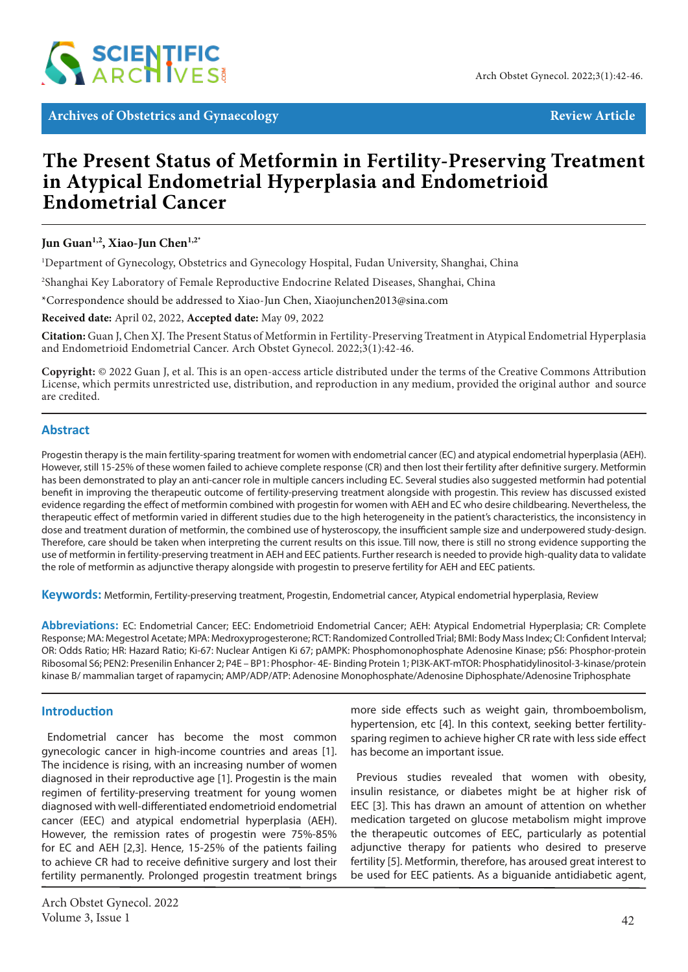

**Archives of Obstetrics and Gynaecology Review Article** Review Article

# **The Present Status of Metformin in Fertility-Preserving Treatment in Atypical Endometrial Hyperplasia and Endometrioid Endometrial Cancer**

## Jun Guan<sup>1,2</sup>, Xiao-Jun Chen<sup>1,2\*</sup>

1 Department of Gynecology, Obstetrics and Gynecology Hospital, Fudan University, Shanghai, China

2 Shanghai Key Laboratory of Female Reproductive Endocrine Related Diseases, Shanghai, China

\*Correspondence should be addressed to Xiao-Jun Chen, Xiaojunchen2013@sina.com

**Received date:** April 02, 2022, **Accepted date:** May 09, 2022

**Citation:** Guan J, Chen XJ. The Present Status of Metformin in Fertility-Preserving Treatment in Atypical Endometrial Hyperplasia and Endometrioid Endometrial Cancer. Arch Obstet Gynecol. 2022;3(1):42-46.

**Copyright:** © 2022 Guan J, et al. This is an open-access article distributed under the terms of the Creative Commons Attribution License, which permits unrestricted use, distribution, and reproduction in any medium, provided the original author and source are credited.

## **Abstract**

Progestin therapy is the main fertility-sparing treatment for women with endometrial cancer (EC) and atypical endometrial hyperplasia (AEH). However, still 15-25% of these women failed to achieve complete response (CR) and then lost their fertility after definitive surgery. Metformin has been demonstrated to play an anti-cancer role in multiple cancers including EC. Several studies also suggested metformin had potential benefit in improving the therapeutic outcome of fertility-preserving treatment alongside with progestin. This review has discussed existed evidence regarding the effect of metformin combined with progestin for women with AEH and EC who desire childbearing. Nevertheless, the therapeutic effect of metformin varied in different studies due to the high heterogeneity in the patient's characteristics, the inconsistency in dose and treatment duration of metformin, the combined use of hysteroscopy, the insufficient sample size and underpowered study-design. Therefore, care should be taken when interpreting the current results on this issue. Till now, there is still no strong evidence supporting the use of metformin in fertility-preserving treatment in AEH and EEC patients. Further research is needed to provide high-quality data to validate the role of metformin as adjunctive therapy alongside with progestin to preserve fertility for AEH and EEC patients.

**Keywords:** Metformin, Fertility-preserving treatment, Progestin, Endometrial cancer, Atypical endometrial hyperplasia, Review

**Abbreviations:** EC: Endometrial Cancer; EEC: Endometrioid Endometrial Cancer; AEH: Atypical Endometrial Hyperplasia; CR: Complete Response; MA: Megestrol Acetate; MPA: Medroxyprogesterone; RCT: Randomized Controlled Trial; BMI: Body Mass Index; CI: Confident Interval; OR: Odds Ratio; HR: Hazard Ratio; Ki-67: Nuclear Antigen Ki 67; pAMPK: Phosphomonophosphate Adenosine Kinase; pS6: Phosphor-protein Ribosomal S6; PEN2: Presenilin Enhancer 2; P4E – BP1: Phosphor- 4E- Binding Protein 1; PI3K-AKT-mTOR: Phosphatidylinositol-3-kinase/protein kinase B/ mammalian target of rapamycin; AMP/ADP/ATP: Adenosine Monophosphate/Adenosine Diphosphate/Adenosine Triphosphate

## **Introduction**

Endometrial cancer has become the most common gynecologic cancer in high-income countries and areas [1]. The incidence is rising, with an increasing number of women diagnosed in their reproductive age [1]. Progestin is the main regimen of fertility-preserving treatment for young women diagnosed with well-differentiated endometrioid endometrial cancer (EEC) and atypical endometrial hyperplasia (AEH). However, the remission rates of progestin were 75%-85% for EC and AEH [2,3]. Hence, 15-25% of the patients failing to achieve CR had to receive definitive surgery and lost their fertility permanently. Prolonged progestin treatment brings more side effects such as weight gain, thromboembolism, hypertension, etc [4]. In this context, seeking better fertilitysparing regimen to achieve higher CR rate with less side effect has become an important issue.

Previous studies revealed that women with obesity, insulin resistance, or diabetes might be at higher risk of EEC [3]. This has drawn an amount of attention on whether medication targeted on glucose metabolism might improve the therapeutic outcomes of EEC, particularly as potential adjunctive therapy for patients who desired to preserve fertility [5]. Metformin, therefore, has aroused great interest to be used for EEC patients. As a biguanide antidiabetic agent,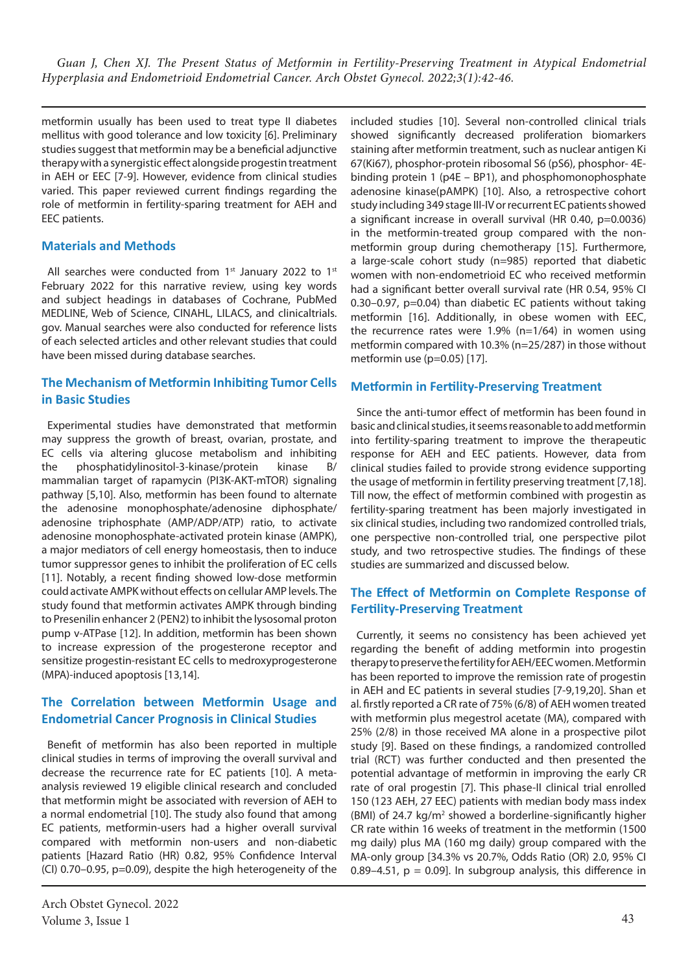metformin usually has been used to treat type II diabetes mellitus with good tolerance and low toxicity [6]. Preliminary studies suggest that metformin may be a beneficial adjunctive therapy with a synergistic effect alongside progestin treatment in AEH or EEC [7-9]. However, evidence from clinical studies varied. This paper reviewed current findings regarding the role of metformin in fertility-sparing treatment for AEH and EEC patients.

## **Materials and Methods**

All searches were conducted from 1<sup>st</sup> January 2022 to 1<sup>st</sup> February 2022 for this narrative review, using key words and subject headings in databases of Cochrane, PubMed MEDLINE, Web of Science, CINAHL, LILACS, and clinicaltrials. gov. Manual searches were also conducted for reference lists of each selected articles and other relevant studies that could have been missed during database searches.

# **The Mechanism of Metformin Inhibiting Tumor Cells in Basic Studies**

Experimental studies have demonstrated that metformin may suppress the growth of breast, ovarian, prostate, and EC cells via altering glucose metabolism and inhibiting the phosphatidylinositol-3-kinase/protein kinase B/ mammalian target of rapamycin (PI3K-AKT-mTOR) signaling pathway [5,10]. Also, metformin has been found to alternate the adenosine monophosphate/adenosine diphosphate/ adenosine triphosphate (AMP/ADP/ATP) ratio, to activate adenosine monophosphate-activated protein kinase (AMPK), a major mediators of cell energy homeostasis, then to induce tumor suppressor genes to inhibit the proliferation of EC cells [11]. Notably, a recent finding showed low-dose metformin could activate AMPK without effects on cellular AMP levels. The study found that metformin activates AMPK through binding to Presenilin enhancer 2 (PEN2) to inhibit the lysosomal proton pump v-ATPase [12]. In addition, metformin has been shown to increase expression of the progesterone receptor and sensitize progestin-resistant EC cells to medroxyprogesterone (MPA)-induced apoptosis [13,14].

# **The Correlation between Metformin Usage and Endometrial Cancer Prognosis in Clinical Studies**

Benefit of metformin has also been reported in multiple clinical studies in terms of improving the overall survival and decrease the recurrence rate for EC patients [10]. A metaanalysis reviewed 19 eligible clinical research and concluded that metformin might be associated with reversion of AEH to a normal endometrial [10]. The study also found that among EC patients, metformin-users had a higher overall survival compared with metformin non-users and non-diabetic patients [Hazard Ratio (HR) 0.82, 95% Confidence Interval (CI) 0.70–0.95, p=0.09), despite the high heterogeneity of the

Arch Obstet Gynecol. 2022 Volume 3, Issue 1 43

included studies [10]. Several non-controlled clinical trials showed significantly decreased proliferation biomarkers staining after metformin treatment, such as nuclear antigen Ki 67(Ki67), phosphor-protein ribosomal S6 (pS6), phosphor- 4Ebinding protein 1 (p4E – BP1), and phosphomonophosphate adenosine kinase(pAMPK) [10]. Also, a retrospective cohort study including 349 stage III-IV or recurrent EC patients showed a significant increase in overall survival (HR 0.40, p=0.0036) in the metformin-treated group compared with the nonmetformin group during chemotherapy [15]. Furthermore, a large-scale cohort study (n=985) reported that diabetic women with non-endometrioid EC who received metformin had a significant better overall survival rate (HR 0.54, 95% CI 0.30–0.97, p=0.04) than diabetic EC patients without taking metformin [16]. Additionally, in obese women with EEC, the recurrence rates were 1.9% (n=1/64) in women using metformin compared with 10.3% (n=25/287) in those without metformin use (p=0.05) [17].

#### **Metformin in Fertility-Preserving Treatment**

Since the anti-tumor effect of metformin has been found in basic and clinical studies, it seems reasonable to add metformin into fertility-sparing treatment to improve the therapeutic response for AEH and EEC patients. However, data from clinical studies failed to provide strong evidence supporting the usage of metformin in fertility preserving treatment [7,18]. Till now, the effect of metformin combined with progestin as fertility-sparing treatment has been majorly investigated in six clinical studies, including two randomized controlled trials, one perspective non-controlled trial, one perspective pilot study, and two retrospective studies. The findings of these studies are summarized and discussed below.

# **The Effect of Metformin on Complete Response of Fertility-Preserving Treatment**

Currently, it seems no consistency has been achieved yet regarding the benefit of adding metformin into progestin therapy to preserve the fertility for AEH/EEC women. Metformin has been reported to improve the remission rate of progestin in AEH and EC patients in several studies [7-9,19,20]. Shan et al. firstly reported a CR rate of 75% (6/8) of AEH women treated with metformin plus megestrol acetate (MA), compared with 25% (2/8) in those received MA alone in a prospective pilot study [9]. Based on these findings, a randomized controlled trial (RCT) was further conducted and then presented the potential advantage of metformin in improving the early CR rate of oral progestin [7]. This phase-II clinical trial enrolled 150 (123 AEH, 27 EEC) patients with median body mass index (BMI) of 24.7 kg/m<sup>2</sup> showed a borderline-significantly higher CR rate within 16 weeks of treatment in the metformin (1500 mg daily) plus MA (160 mg daily) group compared with the MA-only group [34.3% vs 20.7%, Odds Ratio (OR) 2.0, 95% CI 0.89–4.51,  $p = 0.09$ ]. In subgroup analysis, this difference in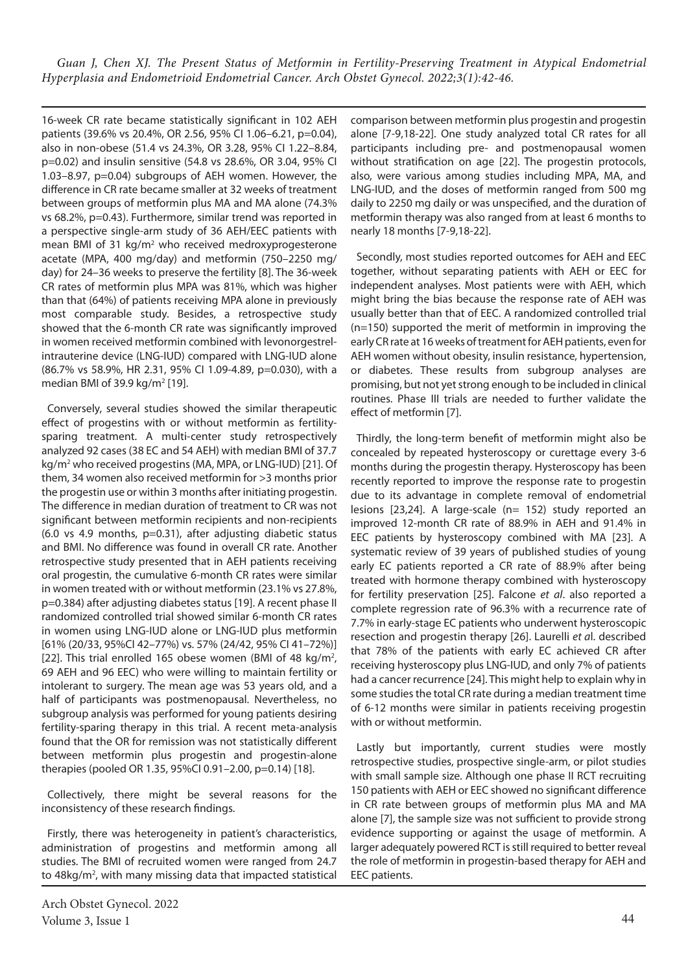16-week CR rate became statistically significant in 102 AEH patients (39.6% vs 20.4%, OR 2.56, 95% CI 1.06–6.21, p=0.04), also in non-obese (51.4 vs 24.3%, OR 3.28, 95% CI 1.22–8.84, p=0.02) and insulin sensitive (54.8 vs 28.6%, OR 3.04, 95% CI 1.03–8.97, p=0.04) subgroups of AEH women. However, the difference in CR rate became smaller at 32 weeks of treatment between groups of metformin plus MA and MA alone (74.3% vs 68.2%, p=0.43). Furthermore, similar trend was reported in a perspective single-arm study of 36 AEH/EEC patients with mean BMI of 31 kg/m<sup>2</sup> who received medroxyprogesterone acetate (MPA, 400 mg/day) and metformin (750–2250 mg/ day) for 24–36 weeks to preserve the fertility [8]. The 36-week CR rates of metformin plus MPA was 81%, which was higher than that (64%) of patients receiving MPA alone in previously most comparable study. Besides, a retrospective study showed that the 6-month CR rate was significantly improved in women received metformin combined with levonorgestrelintrauterine device (LNG-IUD) compared with LNG-IUD alone (86.7% vs 58.9%, HR 2.31, 95% CI 1.09-4.89, p=0.030), with a median BMI of 39.9 kg/m<sup>2</sup> [19].

Conversely, several studies showed the similar therapeutic effect of progestins with or without metformin as fertilitysparing treatment. A multi-center study retrospectively analyzed 92 cases (38 EC and 54 AEH) with median BMI of 37.7 kg/m<sup>2</sup> who received progestins (MA, MPA, or LNG-IUD) [21]. Of them, 34 women also received metformin for >3 months prior the progestin use or within 3 months after initiating progestin. The difference in median duration of treatment to CR was not significant between metformin recipients and non-recipients (6.0 vs 4.9 months, p=0.31), after adjusting diabetic status and BMI. No difference was found in overall CR rate. Another retrospective study presented that in AEH patients receiving oral progestin, the cumulative 6-month CR rates were similar in women treated with or without metformin (23.1% vs 27.8%, p=0.384) after adjusting diabetes status [19]. A recent phase II randomized controlled trial showed similar 6-month CR rates in women using LNG-IUD alone or LNG-IUD plus metformin [61% (20/33, 95%CI 42–77%) vs. 57% (24/42, 95% CI 41–72%)] [22]. This trial enrolled 165 obese women (BMI of 48 kg/m<sup>2</sup>, 69 AEH and 96 EEC) who were willing to maintain fertility or intolerant to surgery. The mean age was 53 years old, and a half of participants was postmenopausal. Nevertheless, no subgroup analysis was performed for young patients desiring fertility-sparing therapy in this trial. A recent meta-analysis found that the OR for remission was not statistically different between metformin plus progestin and progestin-alone therapies (pooled OR 1.35, 95%CI 0.91–2.00, p=0.14) [18].

Collectively, there might be several reasons for the inconsistency of these research findings.

Firstly, there was heterogeneity in patient's characteristics, administration of progestins and metformin among all studies. The BMI of recruited women were ranged from 24.7 to 48kg/m<sup>2</sup>, with many missing data that impacted statistical comparison between metformin plus progestin and progestin alone [7-9,18-22]. One study analyzed total CR rates for all participants including pre- and postmenopausal women without stratification on age [22]. The progestin protocols, also, were various among studies including MPA, MA, and LNG-IUD, and the doses of metformin ranged from 500 mg daily to 2250 mg daily or was unspecified, and the duration of metformin therapy was also ranged from at least 6 months to nearly 18 months [7-9,18-22].

Secondly, most studies reported outcomes for AEH and EEC together, without separating patients with AEH or EEC for independent analyses. Most patients were with AEH, which might bring the bias because the response rate of AEH was usually better than that of EEC. A randomized controlled trial (n=150) supported the merit of metformin in improving the early CR rate at 16 weeks of treatment for AEH patients, even for AEH women without obesity, insulin resistance, hypertension, or diabetes. These results from subgroup analyses are promising, but not yet strong enough to be included in clinical routines. Phase III trials are needed to further validate the effect of metformin [7].

Thirdly, the long-term benefit of metformin might also be concealed by repeated hysteroscopy or curettage every 3-6 months during the progestin therapy. Hysteroscopy has been recently reported to improve the response rate to progestin due to its advantage in complete removal of endometrial lesions [23,24]. A large-scale (n= 152) study reported an improved 12-month CR rate of 88.9% in AEH and 91.4% in EEC patients by hysteroscopy combined with MA [23]. A systematic review of 39 years of published studies of young early EC patients reported a CR rate of 88.9% after being treated with hormone therapy combined with hysteroscopy for fertility preservation [25]. Falcone *et al*. also reported a complete regression rate of 96.3% with a recurrence rate of 7.7% in early-stage EC patients who underwent hysteroscopic resection and progestin therapy [26]. Laurelli *et a*l. described that 78% of the patients with early EC achieved CR after receiving hysteroscopy plus LNG-IUD, and only 7% of patients had a cancer recurrence [24]. This might help to explain why in some studies the total CR rate during a median treatment time of 6-12 months were similar in patients receiving progestin with or without metformin.

Lastly but importantly, current studies were mostly retrospective studies, prospective single-arm, or pilot studies with small sample size. Although one phase II RCT recruiting 150 patients with AEH or EEC showed no significant difference in CR rate between groups of metformin plus MA and MA alone [7], the sample size was not sufficient to provide strong evidence supporting or against the usage of metformin. A larger adequately powered RCT is still required to better reveal the role of metformin in progestin-based therapy for AEH and EEC patients.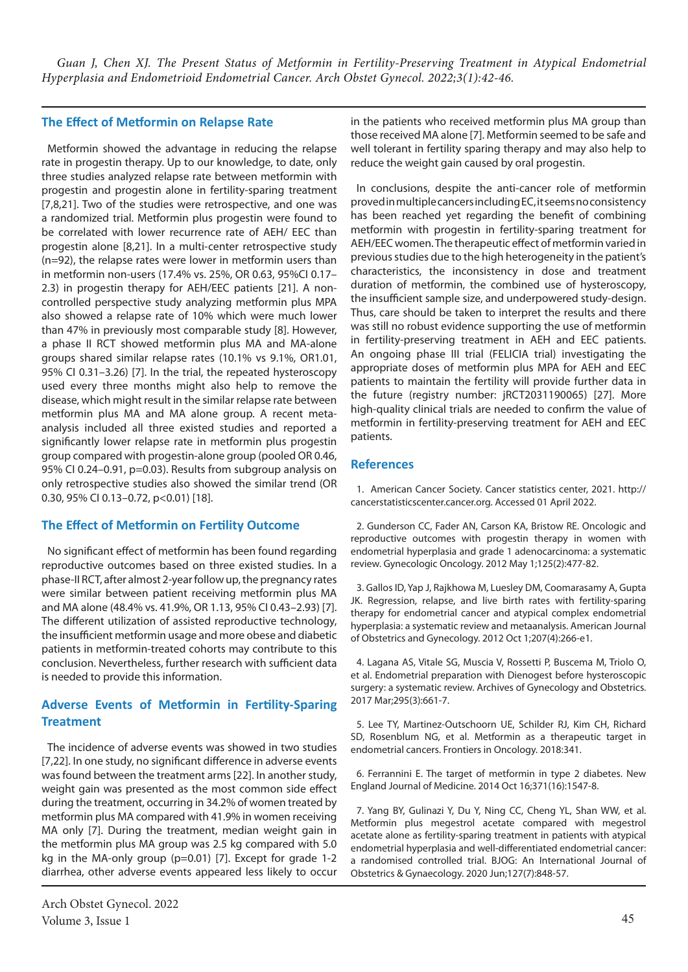#### **The Effect of Metformin on Relapse Rate**

Metformin showed the advantage in reducing the relapse rate in progestin therapy. Up to our knowledge, to date, only three studies analyzed relapse rate between metformin with progestin and progestin alone in fertility-sparing treatment [7,8,21]. Two of the studies were retrospective, and one was a randomized trial. Metformin plus progestin were found to be correlated with lower recurrence rate of AEH/ EEC than progestin alone [8,21]. In a multi-center retrospective study (n=92), the relapse rates were lower in metformin users than in metformin non-users (17.4% vs. 25%, OR 0.63, 95%CI 0.17– 2.3) in progestin therapy for AEH/EEC patients [21]. A noncontrolled perspective study analyzing metformin plus MPA also showed a relapse rate of 10% which were much lower than 47% in previously most comparable study [8]. However, a phase II RCT showed metformin plus MA and MA-alone groups shared similar relapse rates (10.1% vs 9.1%, OR1.01, 95% CI 0.31–3.26) [7]. In the trial, the repeated hysteroscopy used every three months might also help to remove the disease, which might result in the similar relapse rate between metformin plus MA and MA alone group. A recent metaanalysis included all three existed studies and reported a significantly lower relapse rate in metformin plus progestin group compared with progestin-alone group (pooled OR 0.46, 95% CI 0.24–0.91, p=0.03). Results from subgroup analysis on only retrospective studies also showed the similar trend (OR 0.30, 95% CI 0.13-0.72, p<0.01) [18].

## **The Effect of Metformin on Fertility Outcome**

No significant effect of metformin has been found regarding reproductive outcomes based on three existed studies. In a phase-II RCT, after almost 2-year follow up, the pregnancy rates were similar between patient receiving metformin plus MA and MA alone (48.4% vs. 41.9%, OR 1.13, 95% CI 0.43–2.93) [7]. The different utilization of assisted reproductive technology, the insufficient metformin usage and more obese and diabetic patients in metformin-treated cohorts may contribute to this conclusion. Nevertheless, further research with sufficient data is needed to provide this information.

# **Adverse Events of Metformin in Fertility-Sparing Treatment**

The incidence of adverse events was showed in two studies [7,22]. In one study, no significant difference in adverse events was found between the treatment arms [22]. In another study, weight gain was presented as the most common side effect during the treatment, occurring in 34.2% of women treated by metformin plus MA compared with 41.9% in women receiving MA only [7]. During the treatment, median weight gain in the metformin plus MA group was 2.5 kg compared with 5.0 kg in the MA-only group (p=0.01) [7]. Except for grade 1-2 diarrhea, other adverse events appeared less likely to occur

in the patients who received metformin plus MA group than those received MA alone [7]. Metformin seemed to be safe and well tolerant in fertility sparing therapy and may also help to reduce the weight gain caused by oral progestin.

In conclusions, despite the anti-cancer role of metformin proved in multiple cancers including EC, it seems no consistency has been reached yet regarding the benefit of combining metformin with progestin in fertility-sparing treatment for AEH/EEC women. The therapeutic effect of metformin varied in previous studies due to the high heterogeneity in the patient's characteristics, the inconsistency in dose and treatment duration of metformin, the combined use of hysteroscopy, the insufficient sample size, and underpowered study-design. Thus, care should be taken to interpret the results and there was still no robust evidence supporting the use of metformin in fertility-preserving treatment in AEH and EEC patients. An ongoing phase III trial (FELICIA trial) investigating the appropriate doses of metformin plus MPA for AEH and EEC patients to maintain the fertility will provide further data in the future (registry number: jRCT2031190065) [27]. More high-quality clinical trials are needed to confirm the value of metformin in fertility-preserving treatment for AEH and EEC patients.

#### **References**

1. American Cancer Society. Cancer statistics center, 2021. http:// cancerstatisticscenter.cancer.org. Accessed 01 April 2022.

2. Gunderson CC, Fader AN, Carson KA, Bristow RE. Oncologic and reproductive outcomes with progestin therapy in women with endometrial hyperplasia and grade 1 adenocarcinoma: a systematic review. Gynecologic Oncology. 2012 May 1;125(2):477-82.

3. Gallos ID, Yap J, Rajkhowa M, Luesley DM, Coomarasamy A, Gupta JK. Regression, relapse, and live birth rates with fertility-sparing therapy for endometrial cancer and atypical complex endometrial hyperplasia: a systematic review and metaanalysis. American Journal of Obstetrics and Gynecology. 2012 Oct 1;207(4):266-e1.

4. Lagana AS, Vitale SG, Muscia V, Rossetti P, Buscema M, Triolo O, et al. Endometrial preparation with Dienogest before hysteroscopic surgery: a systematic review. Archives of Gynecology and Obstetrics. 2017 Mar;295(3):661-7.

5. Lee TY, Martinez-Outschoorn UE, Schilder RJ, Kim CH, Richard SD, Rosenblum NG, et al. Metformin as a therapeutic target in endometrial cancers. Frontiers in Oncology. 2018:341.

6. Ferrannini E. The target of metformin in type 2 diabetes. New England Journal of Medicine. 2014 Oct 16;371(16):1547-8.

7. Yang BY, Gulinazi Y, Du Y, Ning CC, Cheng YL, Shan WW, et al. Metformin plus megestrol acetate compared with megestrol acetate alone as fertility‐sparing treatment in patients with atypical endometrial hyperplasia and well-differentiated endometrial cancer: a randomised controlled trial. BJOG: An International Journal of Obstetrics & Gynaecology. 2020 Jun;127(7):848-57.